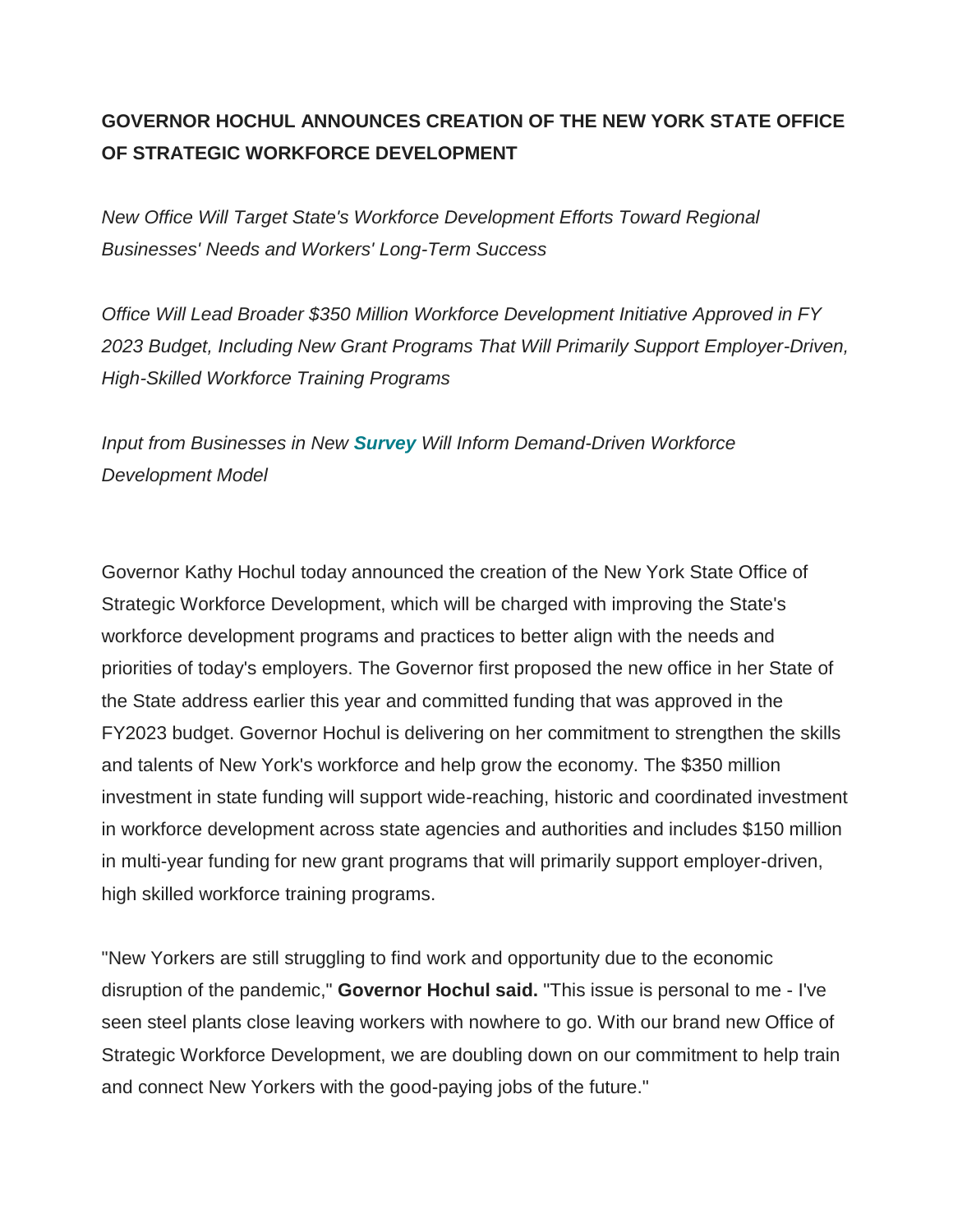## **GOVERNOR HOCHUL ANNOUNCES CREATION OF THE NEW YORK STATE OFFICE OF STRATEGIC WORKFORCE DEVELOPMENT**

*New Office Will Target State's Workforce Development Efforts Toward Regional Businesses' Needs and Workers' Long-Term Success*

*Office Will Lead Broader \$350 Million Workforce Development Initiative Approved in FY 2023 Budget, Including New Grant Programs That Will Primarily Support Employer-Driven, High-Skilled Workforce Training Programs*

*Input from Businesses in New [Survey](https://wildapricot.us7.list-manage.com/track/click?u=007a9765d86ae38201cde7b99&id=4264593e32&e=bc0ede93a0) Will Inform Demand-Driven Workforce Development Model* 

Governor Kathy Hochul today announced the creation of the New York State Office of Strategic Workforce Development, which will be charged with improving the State's workforce development programs and practices to better align with the needs and priorities of today's employers. The Governor first proposed the new office in her State of the State address earlier this year and committed funding that was approved in the FY2023 budget. Governor Hochul is delivering on her commitment to strengthen the skills and talents of New York's workforce and help grow the economy. The \$350 million investment in state funding will support wide-reaching, historic and coordinated investment in workforce development across state agencies and authorities and includes \$150 million in multi-year funding for new grant programs that will primarily support employer-driven, high skilled workforce training programs.

"New Yorkers are still struggling to find work and opportunity due to the economic disruption of the pandemic," **Governor Hochul said.** "This issue is personal to me - I've seen steel plants close leaving workers with nowhere to go. With our brand new Office of Strategic Workforce Development, we are doubling down on our commitment to help train and connect New Yorkers with the good-paying jobs of the future."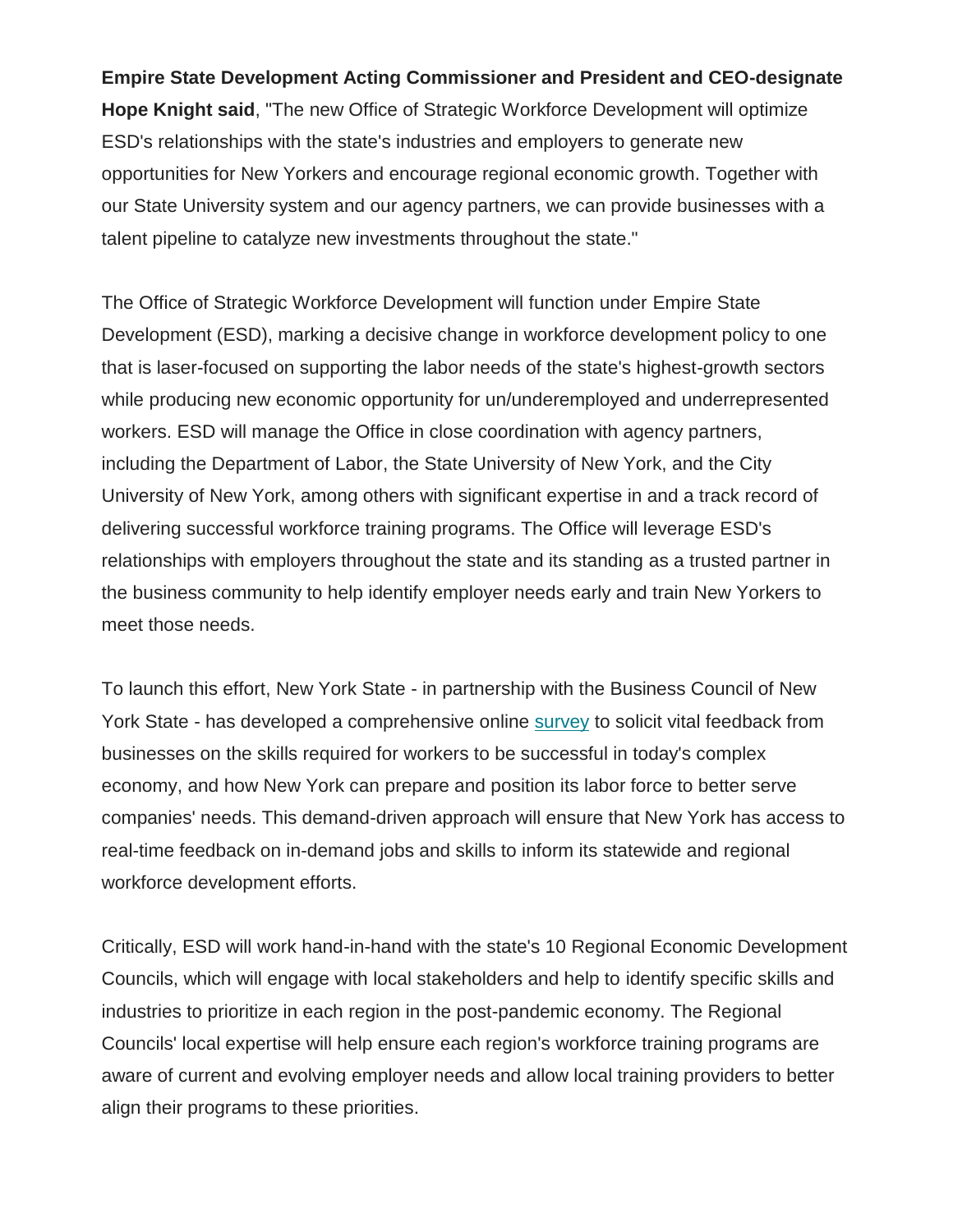## **Empire State Development Acting Commissioner and President and CEO-designate**

**Hope Knight said**, "The new Office of Strategic Workforce Development will optimize ESD's relationships with the state's industries and employers to generate new opportunities for New Yorkers and encourage regional economic growth. Together with our State University system and our agency partners, we can provide businesses with a talent pipeline to catalyze new investments throughout the state."

The Office of Strategic Workforce Development will function under Empire State Development (ESD), marking a decisive change in workforce development policy to one that is laser-focused on supporting the labor needs of the state's highest-growth sectors while producing new economic opportunity for un/underemployed and underrepresented workers. ESD will manage the Office in close coordination with agency partners, including the Department of Labor, the State University of New York, and the City University of New York, among others with significant expertise in and a track record of delivering successful workforce training programs. The Office will leverage ESD's relationships with employers throughout the state and its standing as a trusted partner in the business community to help identify employer needs early and train New Yorkers to meet those needs.

To launch this effort, New York State - in partnership with the Business Council of New York State - has developed a comprehensive online [survey](https://wildapricot.us7.list-manage.com/track/click?u=007a9765d86ae38201cde7b99&id=c3a1e2b717&e=bc0ede93a0) to solicit vital feedback from businesses on the skills required for workers to be successful in today's complex economy, and how New York can prepare and position its labor force to better serve companies' needs. This demand-driven approach will ensure that New York has access to real-time feedback on in-demand jobs and skills to inform its statewide and regional workforce development efforts.

Critically, ESD will work hand-in-hand with the state's 10 Regional Economic Development Councils, which will engage with local stakeholders and help to identify specific skills and industries to prioritize in each region in the post-pandemic economy. The Regional Councils' local expertise will help ensure each region's workforce training programs are aware of current and evolving employer needs and allow local training providers to better align their programs to these priorities.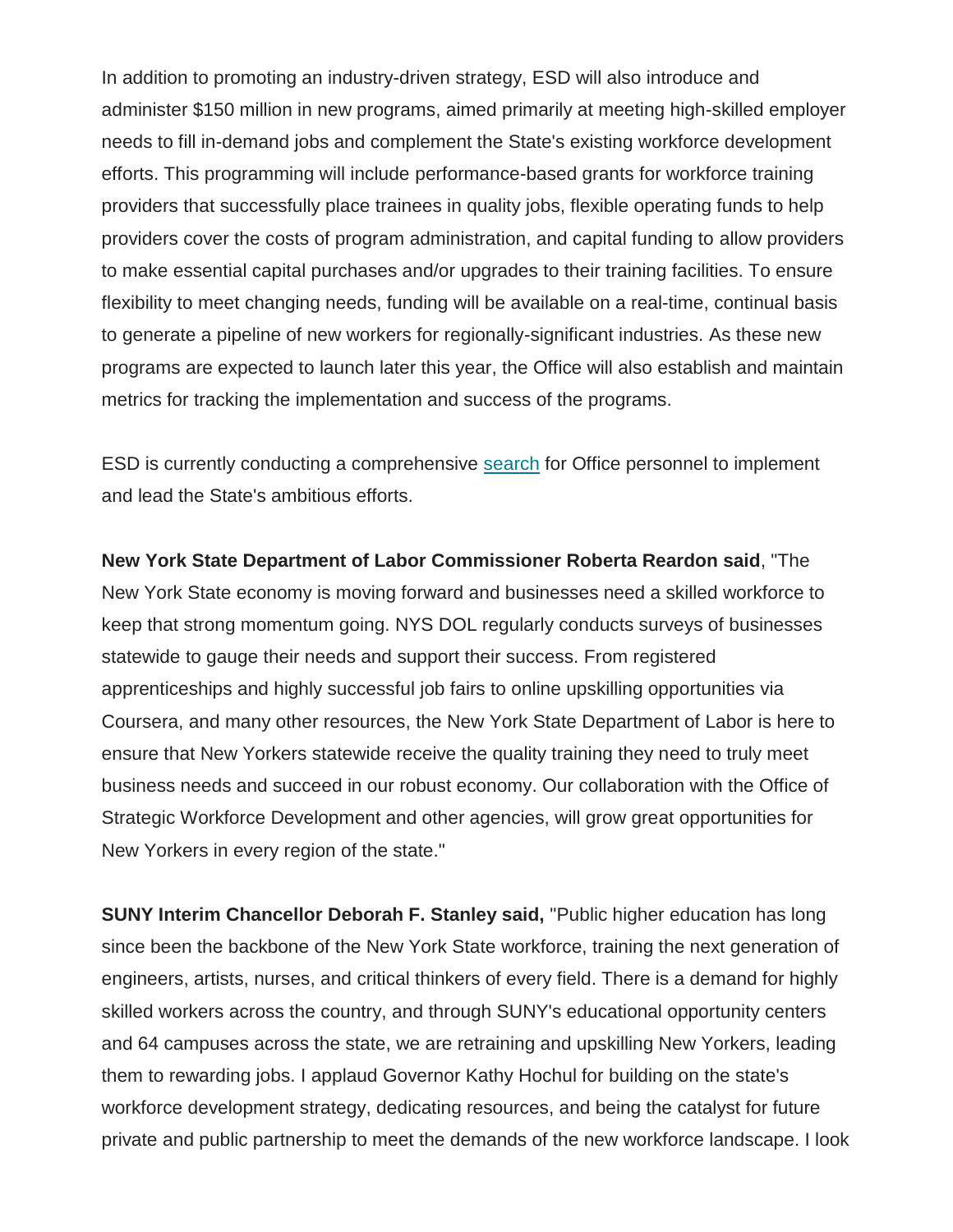In addition to promoting an industry-driven strategy, ESD will also introduce and administer \$150 million in new programs, aimed primarily at meeting high-skilled employer needs to fill in-demand jobs and complement the State's existing workforce development efforts. This programming will include performance-based grants for workforce training providers that successfully place trainees in quality jobs, flexible operating funds to help providers cover the costs of program administration, and capital funding to allow providers to make essential capital purchases and/or upgrades to their training facilities. To ensure flexibility to meet changing needs, funding will be available on a real-time, continual basis to generate a pipeline of new workers for regionally-significant industries. As these new programs are expected to launch later this year, the Office will also establish and maintain metrics for tracking the implementation and success of the programs.

ESD is currently conducting a comprehensive [search](https://wildapricot.us7.list-manage.com/track/click?u=007a9765d86ae38201cde7b99&id=0ac454c566&e=bc0ede93a0) for Office personnel to implement and lead the State's ambitious efforts.

**New York State Department of Labor Commissioner Roberta Reardon said**, "The New York State economy is moving forward and businesses need a skilled workforce to keep that strong momentum going. NYS DOL regularly conducts surveys of businesses statewide to gauge their needs and support their success. From registered apprenticeships and highly successful job fairs to online upskilling opportunities via Coursera, and many other resources, the New York State Department of Labor is here to ensure that New Yorkers statewide receive the quality training they need to truly meet business needs and succeed in our robust economy. Our collaboration with the Office of Strategic Workforce Development and other agencies, will grow great opportunities for New Yorkers in every region of the state."

**SUNY Interim Chancellor Deborah F. Stanley said,** "Public higher education has long since been the backbone of the New York State workforce, training the next generation of engineers, artists, nurses, and critical thinkers of every field. There is a demand for highly skilled workers across the country, and through SUNY's educational opportunity centers and 64 campuses across the state, we are retraining and upskilling New Yorkers, leading them to rewarding jobs. I applaud Governor Kathy Hochul for building on the state's workforce development strategy, dedicating resources, and being the catalyst for future private and public partnership to meet the demands of the new workforce landscape. I look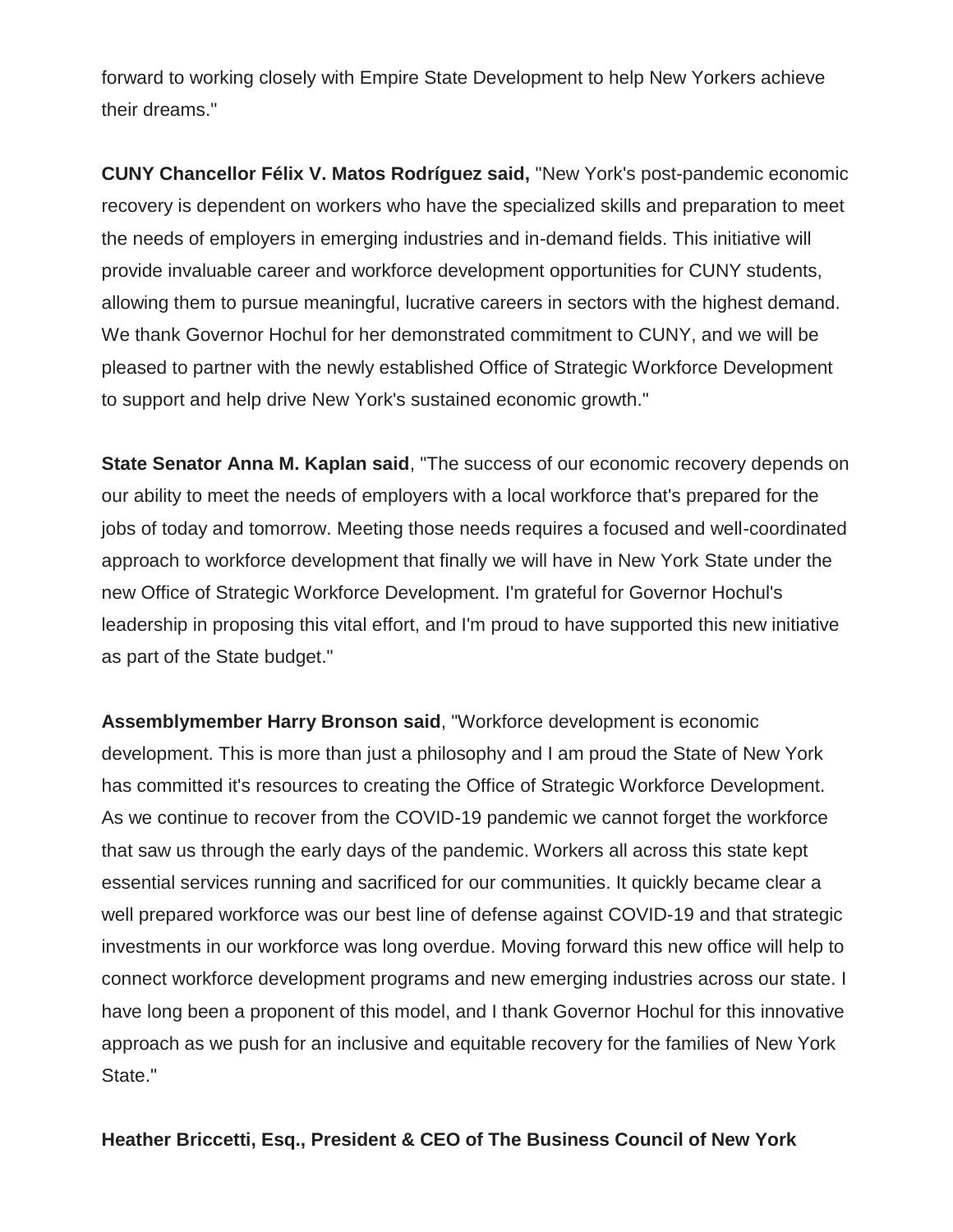forward to working closely with Empire State Development to help New Yorkers achieve their dreams."

**CUNY Chancellor Félix V. Matos Rodríguez said,** "New York's post-pandemic economic recovery is dependent on workers who have the specialized skills and preparation to meet the needs of employers in emerging industries and in-demand fields. This initiative will provide invaluable career and workforce development opportunities for CUNY students, allowing them to pursue meaningful, lucrative careers in sectors with the highest demand. We thank Governor Hochul for her demonstrated commitment to CUNY, and we will be pleased to partner with the newly established Office of Strategic Workforce Development to support and help drive New York's sustained economic growth."

**State Senator Anna M. Kaplan said**, "The success of our economic recovery depends on our ability to meet the needs of employers with a local workforce that's prepared for the jobs of today and tomorrow. Meeting those needs requires a focused and well-coordinated approach to workforce development that finally we will have in New York State under the new Office of Strategic Workforce Development. I'm grateful for Governor Hochul's leadership in proposing this vital effort, and I'm proud to have supported this new initiative as part of the State budget."

**Assemblymember Harry Bronson said**, "Workforce development is economic development. This is more than just a philosophy and I am proud the State of New York has committed it's resources to creating the Office of Strategic Workforce Development. As we continue to recover from the COVID-19 pandemic we cannot forget the workforce that saw us through the early days of the pandemic. Workers all across this state kept essential services running and sacrificed for our communities. It quickly became clear a well prepared workforce was our best line of defense against COVID-19 and that strategic investments in our workforce was long overdue. Moving forward this new office will help to connect workforce development programs and new emerging industries across our state. I have long been a proponent of this model, and I thank Governor Hochul for this innovative approach as we push for an inclusive and equitable recovery for the families of New York State."

## **Heather Briccetti, Esq., President & CEO of The Business Council of New York**